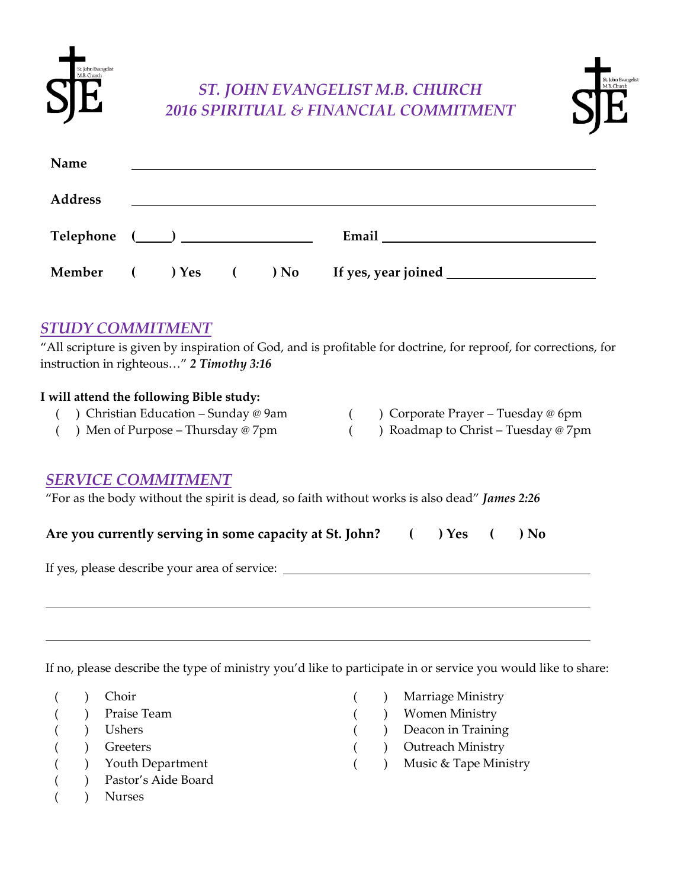

# *ST. JOHN EVANGELIST M.B. CHURCH 2016 SPIRITUAL & FINANCIAL COMMITMENT*



| Name           |  |  |  |
|----------------|--|--|--|
| <b>Address</b> |  |  |  |
|                |  |  |  |
|                |  |  |  |
|                |  |  |  |
|                |  |  |  |

#### *STUDY COMMITMENT*

"All scripture is given by inspiration of God, and is profitable for doctrine, for reproof, for corrections, for instruction in righteous…" *2 Timothy 3:16*

#### **I will attend the following Bible study:**

- ( ) Christian Education Sunday @ 9am
- ( ) Corporate Prayer Tuesday @ 6pm
- ( ) Men of Purpose Thursday @ 7pm
- ( ) Roadmap to Christ Tuesday @ 7pm

## *SERVICE COMMITMENT*

"For as the body without the spirit is dead, so faith without works is also dead" *James 2:26*

|  | Are you currently serving in some capacity at St. John? |  | $( )$ Yes $($ | $\rightarrow$ No |
|--|---------------------------------------------------------|--|---------------|------------------|

If yes, please describe your area of service:

If no, please describe the type of ministry you'd like to participate in or service you would like to share:

- ( ) Choir
- ( ) Praise Team
- ( ) Ushers
- ( ) Greeters
- ( ) Youth Department
- ( ) Pastor's Aide Board
- ( ) Nurses
- ) Marriage Ministry
- ( ) Women Ministry
- ( ) Deacon in Training
- ( ) Outreach Ministry
	- ) Music & Tape Ministry